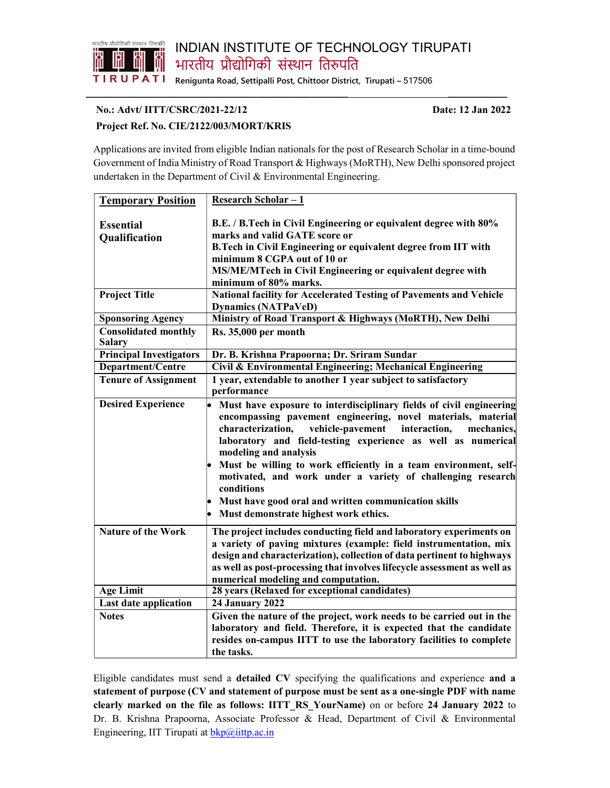INDIAN INSTITUTE OF TECHNOLOGY TIRUPATI भारतीय प्रौद्योगिकी संस्थान तिरुपति

Renigunta Road, Settipalli Post, Chittoor District, Tirupati – 517506 \_\_\_\_\_\_\_\_\_\_\_\_\_\_\_\_\_\_\_\_\_\_\_\_\_\_\_\_\_\_\_\_\_\_\_\_\_\_\_\_\_\_\_\_\_\_\_\_\_\_\_\_\_\_\_\_\_\_\_\_\_\_\_\_\_\_\_\_\_\_\_\_\_\_\_ \_\_\_\_\_\_\_\_\_\_\_\_\_\_\_\_\_

## No.: Advt/ IITT/CSRC/2021-22/12 Date: 12 Jan 2022

的

भारतीय प्रौद्योगिकी संस्थान तिरुपति

**TIRUPATI** 

IÑ

## Project Ref. No. CIE/2122/003/MORT/KRIS

Applications are invited from eligible Indian nationals for the post of Research Scholar in a time-bound Government of India Ministry of Road Transport & Highways (MoRTH), New Delhi sponsored project undertaken in the Department of Civil & Environmental Engineering.

| <b>Temporary Position</b>                    | <b>Research Scholar-1</b>                                                                                                                                                                                                                                                                                                                                                                                                                                                                                                                                     |
|----------------------------------------------|---------------------------------------------------------------------------------------------------------------------------------------------------------------------------------------------------------------------------------------------------------------------------------------------------------------------------------------------------------------------------------------------------------------------------------------------------------------------------------------------------------------------------------------------------------------|
| <b>Essential</b><br><b>Qualification</b>     | B.E. / B.Tech in Civil Engineering or equivalent degree with 80%<br>marks and valid GATE score or<br>B. Tech in Civil Engineering or equivalent degree from IIT with<br>minimum 8 CGPA out of 10 or<br>MS/ME/MTech in Civil Engineering or equivalent degree with<br>minimum of 80% marks.                                                                                                                                                                                                                                                                    |
| <b>Project Title</b>                         | National facility for Accelerated Testing of Pavements and Vehicle                                                                                                                                                                                                                                                                                                                                                                                                                                                                                            |
|                                              | <b>Dynamics (NATPaVeD)</b>                                                                                                                                                                                                                                                                                                                                                                                                                                                                                                                                    |
| <b>Sponsoring Agency</b>                     | Ministry of Road Transport & Highways (MoRTH), New Delhi                                                                                                                                                                                                                                                                                                                                                                                                                                                                                                      |
| <b>Consolidated monthly</b><br><b>Salary</b> | <b>Rs. 35,000 per month</b>                                                                                                                                                                                                                                                                                                                                                                                                                                                                                                                                   |
| <b>Principal Investigators</b>               | Dr. B. Krishna Prapoorna; Dr. Sriram Sundar                                                                                                                                                                                                                                                                                                                                                                                                                                                                                                                   |
| <b>Department/Centre</b>                     | Civil & Environmental Engineering; Mechanical Engineering                                                                                                                                                                                                                                                                                                                                                                                                                                                                                                     |
| <b>Tenure of Assignment</b>                  | 1 year, extendable to another 1 year subject to satisfactory<br>performance                                                                                                                                                                                                                                                                                                                                                                                                                                                                                   |
| <b>Desired Experience</b>                    | • Must have exposure to interdisciplinary fields of civil engineering<br>encompassing pavement engineering, novel materials, material<br>characterization,<br>vehicle-pavement<br>interaction,<br>mechanics,<br>laboratory and field-testing experience as well as numerical<br>modeling and analysis<br>Must be willing to work efficiently in a team environment, self-<br>motivated, and work under a variety of challenging research<br>conditions<br>Must have good oral and written communication skills<br>Must demonstrate highest work ethics.<br>l. |
| <b>Nature of the Work</b>                    | The project includes conducting field and laboratory experiments on<br>a variety of paving mixtures (example: field instrumentation, mix<br>design and characterization), collection of data pertinent to highways<br>as well as post-processing that involves lifecycle assessment as well as<br>numerical modeling and computation.                                                                                                                                                                                                                         |
| <b>Age Limit</b>                             | 28 years (Relaxed for exceptional candidates)                                                                                                                                                                                                                                                                                                                                                                                                                                                                                                                 |
| <b>Last date application</b>                 | <b>24 January 2022</b>                                                                                                                                                                                                                                                                                                                                                                                                                                                                                                                                        |
| <b>Notes</b>                                 | Given the nature of the project, work needs to be carried out in the<br>laboratory and field. Therefore, it is expected that the candidate<br>resides on-campus IITT to use the laboratory facilities to complete<br>the tasks.                                                                                                                                                                                                                                                                                                                               |

Eligible candidates must send a detailed CV specifying the qualifications and experience and a statement of purpose (CV and statement of purpose must be sent as a one-single PDF with name clearly marked on the file as follows: IITT\_RS\_YourName) on or before 24 January 2022 to Dr. B. Krishna Prapoorna, Associate Professor & Head, Department of Civil & Environmental Engineering, IIT Tirupati at **bkp@iittp.ac.in**